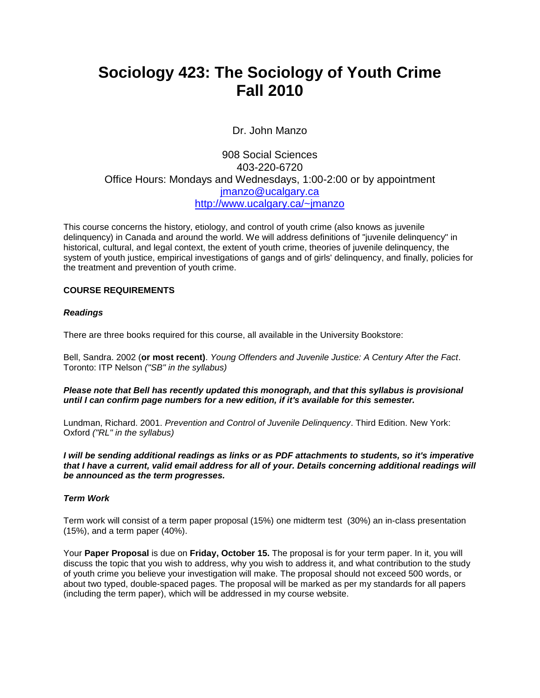# **Sociology 423: The Sociology of Youth Crime Fall 2010**

Dr. John Manzo

# 908 Social Sciences 403-220-6720 Office Hours: Mondays and Wednesdays, 1:00-2:00 or by appointment [jmanzo@ucalgary.ca](mailto:jmanzo@ucalgary.ca) <http://www.ucalgary.ca/~jmanzo>

This course concerns the history, etiology, and control of youth crime (also knows as juvenile delinquency) in Canada and around the world. We will address definitions of "juvenile delinquency" in historical, cultural, and legal context, the extent of youth crime, theories of juvenile delinquency, the system of youth justice, empirical investigations of gangs and of girls' delinquency, and finally, policies for the treatment and prevention of youth crime.

# **COURSE REQUIREMENTS**

## *Readings*

There are three books required for this course, all available in the University Bookstore:

Bell, Sandra. 2002 (**or most recent)**. *Young Offenders and Juvenile Justice: A Century After the Fact*. Toronto: ITP Nelson *("SB" in the syllabus)*

*Please note that Bell has recently updated this monograph, and that this syllabus is provisional until I can confirm page numbers for a new edition, if it's available for this semester.*

Lundman, Richard. 2001. *Prevention and Control of Juvenile Delinquency*. Third Edition. New York: Oxford *("RL" in the syllabus)*

*I will be sending additional readings as links or as PDF attachments to students, so it's imperative that I have a current, valid email address for all of your. Details concerning additional readings will be announced as the term progresses.*

#### *Term Work*

Term work will consist of a term paper proposal (15%) one midterm test (30%) an in-class presentation (15%), and a term paper (40%).

Your **Paper Proposal** is due on **Friday, October 15.** The proposal is for your term paper. In it, you will discuss the topic that you wish to address, why you wish to address it, and what contribution to the study of youth crime you believe your investigation will make. The proposal should not exceed 500 words, or about two typed, double-spaced pages. The proposal will be marked as per my standards for all papers (including the term paper), which will be addressed in my course website.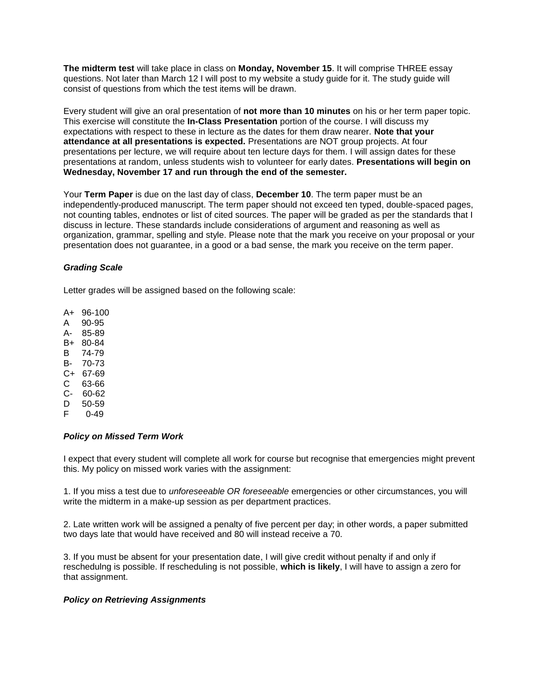**The midterm test** will take place in class on **Monday, November 15**. It will comprise THREE essay questions. Not later than March 12 I will post to my website a study guide for it. The study guide will consist of questions from which the test items will be drawn.

Every student will give an oral presentation of **not more than 10 minutes** on his or her term paper topic. This exercise will constitute the **In-Class Presentation** portion of the course. I will discuss my expectations with respect to these in lecture as the dates for them draw nearer. **Note that your attendance at all presentations is expected.** Presentations are NOT group projects. At four presentations per lecture, we will require about ten lecture days for them. I will assign dates for these presentations at random, unless students wish to volunteer for early dates. **Presentations will begin on Wednesday, November 17 and run through the end of the semester.**

Your **Term Paper** is due on the last day of class, **December 10**. The term paper must be an independently-produced manuscript. The term paper should not exceed ten typed, double-spaced pages, not counting tables, endnotes or list of cited sources. The paper will be graded as per the standards that I discuss in lecture. These standards include considerations of argument and reasoning as well as organization, grammar, spelling and style. Please note that the mark you receive on your proposal or your presentation does not guarantee, in a good or a bad sense, the mark you receive on the term paper.

#### *Grading Scale*

Letter grades will be assigned based on the following scale:

- A+ 96-100
- A 90-95
- A- 85-89
- B+ 80-84
- B 74-79
- B- 70-73
- C+ 67-69 C 63-66
- C- 60-62
- 
- $D = 50-59$ <br>F 0-49  $0 - 49$

#### *Policy on Missed Term Work*

I expect that every student will complete all work for course but recognise that emergencies might prevent this. My policy on missed work varies with the assignment:

1. If you miss a test due to *unforeseeable OR foreseeable* emergencies or other circumstances, you will write the midterm in a make-up session as per department practices.

2. Late written work will be assigned a penalty of five percent per day; in other words, a paper submitted two days late that would have received and 80 will instead receive a 70.

3. If you must be absent for your presentation date, I will give credit without penalty if and only if reschedulng is possible. If rescheduling is not possible, **which is likely**, I will have to assign a zero for that assignment.

#### *Policy on Retrieving Assignments*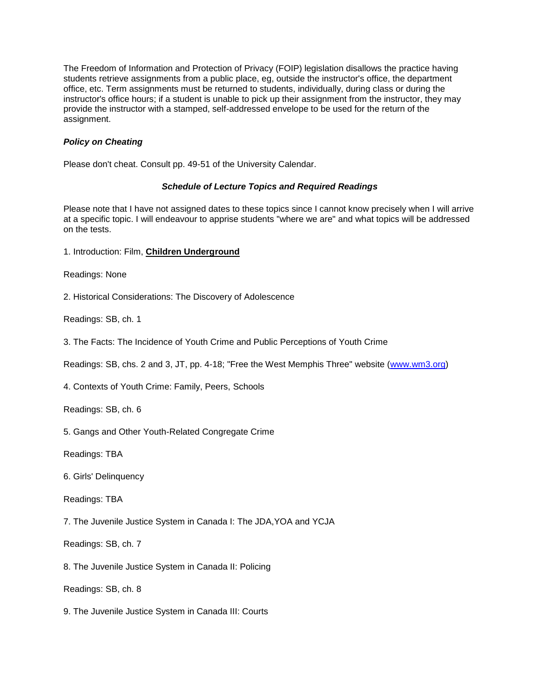The Freedom of Information and Protection of Privacy (FOIP) legislation disallows the practice having students retrieve assignments from a public place, eg, outside the instructor's office, the department office, etc. Term assignments must be returned to students, individually, during class or during the instructor's office hours; if a student is unable to pick up their assignment from the instructor, they may provide the instructor with a stamped, self-addressed envelope to be used for the return of the assignment.

# *Policy on Cheating*

Please don't cheat. Consult pp. 49-51 of the University Calendar.

## *Schedule of Lecture Topics and Required Readings*

Please note that I have not assigned dates to these topics since I cannot know precisely when I will arrive at a specific topic. I will endeavour to apprise students "where we are" and what topics will be addressed on the tests.

1. Introduction: Film, **Children Underground**

Readings: None

2. Historical Considerations: The Discovery of Adolescence

Readings: SB, ch. 1

3. The Facts: The Incidence of Youth Crime and Public Perceptions of Youth Crime

Readings: SB, chs. 2 and 3, JT, pp. 4-18; "Free the West Memphis Three" website [\(www.wm3.org\)](http://www.wm3.org/)

4. Contexts of Youth Crime: Family, Peers, Schools

Readings: SB, ch. 6

5. Gangs and Other Youth-Related Congregate Crime

Readings: TBA

6. Girls' Delinquency

Readings: TBA

7. The Juvenile Justice System in Canada I: The JDA,YOA and YCJA

Readings: SB, ch. 7

8. The Juvenile Justice System in Canada II: Policing

Readings: SB, ch. 8

9. The Juvenile Justice System in Canada III: Courts